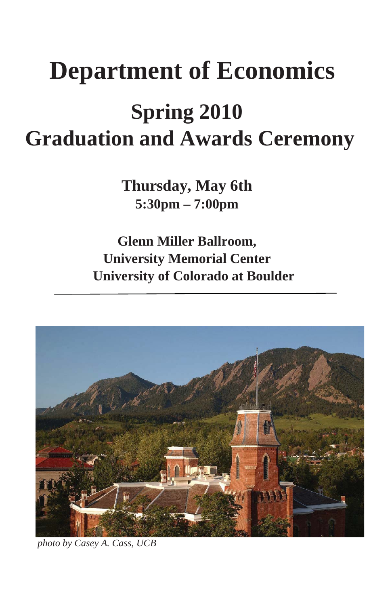# **Department of Economics**

## **Spring 2010 Graduation and Awards Ceremony**

**Thursday, May 6th 5:30pm – 7:00pm** 

**Glenn Miller Ballroom, University Memorial Center University of Colorado at Boulder** 



 *photo by Casey A. Cass, UCB*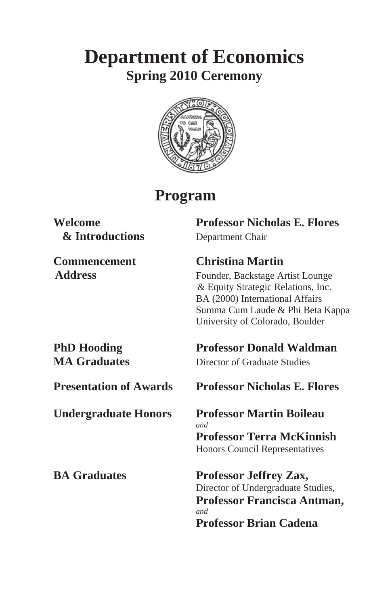## **Department of Economics Spring 2010 Ceremony**



## **Program**

## **& Introductions** Department Chair

**Welcome Professor Nicholas E. Flores** 

#### **Commencement Christina Martin**

Address Founder, Backstage Artist Lounge & Equity Strategic Relations, Inc. BA (2000) International Affairs Summa Cum Laude & Phi Beta Kappa University of Colorado, Boulder

**PhD Hooding Professor Donald Waldman MA Graduates** Director of Graduate Studies

#### **Presentation of Awards Professor Nicholas E. Flores**

 **Undergraduate Honors Professor Martin Boileau**  *and*  **Professor Terra McKinnish**  Honors Council Representatives

**BA Graduates Professor Jeffrey Zax,**  Director of Undergraduate Studies,  **Professor Francisca Antman,**  *and*  **Professor Brian Cadena**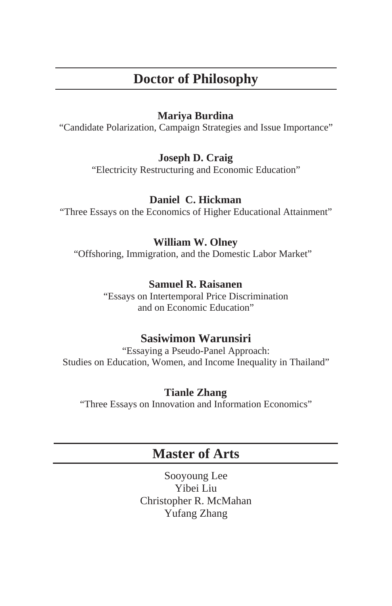### **Doctor of Philosophy**

#### **Mariya Burdina**

"Candidate Polarization, Campaign Strategies and Issue Importance"

#### **Joseph D. Craig**

"Electricity Restructuring and Economic Education"

#### **Daniel C. Hickman**

"Three Essays on the Economics of Higher Educational Attainment"

#### **William W. Olney**

"Offshoring, Immigration, and the Domestic Labor Market"

#### **Samuel R. Raisanen**

"Essays on Intertemporal Price Discrimination and on Economic Education"

#### **Sasiwimon Warunsiri**

"Essaying a Pseudo-Panel Approach: Studies on Education, Women, and Income Inequality in Thailand"

#### **Tianle Zhang**

"Three Essays on Innovation and Information Economics"

### **Master of Arts**

Sooyoung Lee Yibei Liu Christopher R. McMahan Yufang Zhang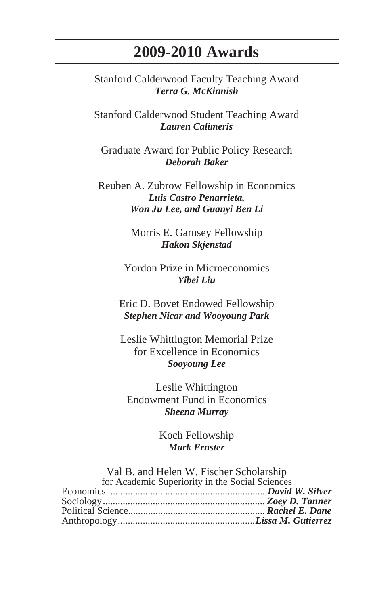## **2009-2010 Awards**

Stanford Calderwood Faculty Teaching Award *Terra G. McKinnish* 

Stanford Calderwood Student Teaching Award *Lauren Calimeris* 

Graduate Award for Public Policy Research *Deborah Baker* 

Reuben A. Zubrow Fellowship in Economics *Luis Castro Penarrieta, Won Ju Lee, and Guanyi Ben Li* 

> Morris E. Garnsey Fellowship *Hakon Skjenstad*

Yordon Prize in Microeconomics *Yibei Liu* 

Eric D. Bovet Endowed Fellowship *Stephen Nicar and Wooyoung Park* 

Leslie Whittington Memorial Prize for Excellence in Economics *Sooyoung Lee* 

Leslie Whittington Endowment Fund in Economics *Sheena Murray* 

> Koch Fellowship *Mark Ernster*

Val B. and Helen W. Fischer Scholarship

| for Academic Superiority in the Social Sciences |  |
|-------------------------------------------------|--|
|                                                 |  |
|                                                 |  |
|                                                 |  |
|                                                 |  |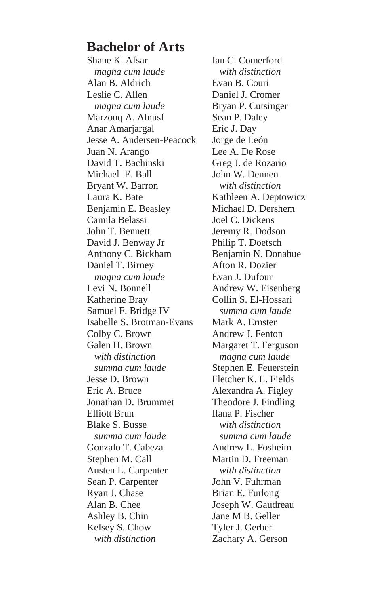### **Bachelor of Arts**

Shane K. Afsar *magna cum laude* Alan B. Aldrich Leslie C. Allen  *magna cum laude* Marzouq A. Alnusf Anar Amarjargal Jesse A. Andersen-Peacock Juan N. Arango David T. Bachinski Michael E. Ball Bryant W. Barron Laura K. Bate Benjamin E. Beasley Camila Belassi John T. Bennett David J. Benway Jr Anthony C. Bickham Daniel T. Birney  *magna cum laude* Levi N. Bonnell Katherine Bray Samuel F. Bridge IV Isabelle S. Brotman-Evans Colby C. Brown Galen H. Brown *with distinction summa cum laude*  Jesse D. Brown Eric A. Bruce Jonathan D. Brummet Elliott Brun Blake S. Busse  *summa cum laude*  Gonzalo T. Cabeza Stephen M. Call Austen L. Carpenter Sean P. Carpenter Ryan J. Chase Alan B. Chee Ashley B. Chin Kelsey S. Chow *with distinction*

Ian C. Comerford *with distinction* Evan B. Couri Daniel J. Cromer Bryan P. Cutsinger Sean P. Daley Eric J. Day Jorge de León Lee A. De Rose Greg J. de Rozario John W. Dennen  *with distinction* Kathleen A. Deptowicz Michael D. Dershem Joel C. Dickens Jeremy R. Dodson Philip T. Doetsch Benjamin N. Donahue Afton R. Dozier Evan J. Dufour Andrew W. Eisenberg Collin S. El-Hossari *summa cum laude* Mark A. Ernster Andrew J. Fenton Margaret T. Ferguson *magna cum laude* Stephen E. Feuerstein Fletcher K. L. Fields Alexandra A. Figley Theodore J. Findling Ilana P. Fischer *with distinction summa cum laude*  Andrew L. Fosheim Martin D. Freeman *with distinction* John V. Fuhrman Brian E. Furlong Joseph W. Gaudreau Jane M B. Geller Tyler J. Gerber Zachary A. Gerson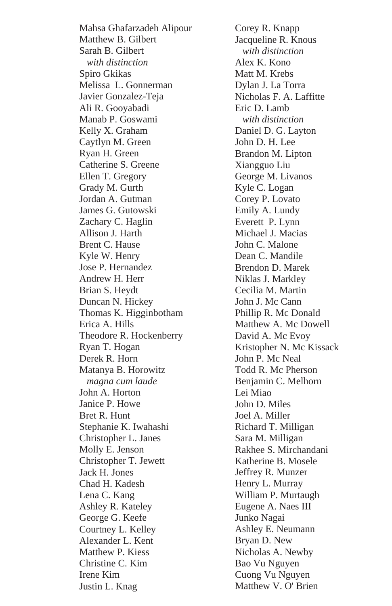Mahsa Ghafarzadeh Alipour Matthew B. Gilbert Sarah B. Gilbert *with distinction* Spiro Gkikas Melissa L. Gonnerman Javier Gonzalez-Teja Ali R. Gooyabadi Manab P. Goswami Kelly X. Graham Caytlyn M. Green Ryan H. Green Catherine S. Greene Ellen T. Gregory Grady M. Gurth Jordan A. Gutman James G. Gutowski Zachary C. Haglin Allison J. Harth Brent C. Hause Kyle W. Henry Jose P. Hernandez Andrew H. Herr Brian S. Heydt Duncan N. Hickey Thomas K. Higginbotham Erica A. Hills Theodore R. Hockenberry Ryan T. Hogan Derek R. Horn Matanya B. Horowitz *magna cum laude* John A. Horton Janice P. Howe Bret R. Hunt Stephanie K. Iwahashi Christopher L. Janes Molly E. Jenson Christopher T. Jewett Jack H. Jones Chad H. Kadesh Lena C. Kang Ashley R. Kateley George G. Keefe Courtney L. Kelley Alexander L. Kent Matthew P. Kiess Christine C. Kim Irene Kim Justin L. Knag

Corey R. Knapp Jacqueline R. Knous *with distinction* Alex K. Kono Matt M. Krebs Dylan J. La Torra Nicholas F. A. Laffitte Eric D. Lamb *with distinction* Daniel D. G. Layton John D. H. Lee Brandon M. Lipton Xiangguo Liu George M. Livanos Kyle C. Logan Corey P. Lovato Emily A. Lundy Everett P. Lynn Michael J. Macias John C. Malone Dean C. Mandile Brendon D. Marek Niklas J. Markley Cecilia M. Martin John J. Mc Cann Phillip R. Mc Donald Matthew A. Mc Dowell David A. Mc Evoy Kristopher N. Mc Kissack John P. Mc Neal Todd R. Mc Pherson Benjamin C. Melhorn Lei Miao John D. Miles Joel A. Miller Richard T. Milligan Sara M. Milligan Rakhee S. Mirchandani Katherine B. Mosele Jeffrey R. Munzer Henry L. Murray William P. Murtaugh Eugene A. Naes III Junko Nagai Ashley E. Neumann Bryan D. New Nicholas A. Newby Bao Vu Nguyen Cuong Vu Nguyen Matthew V. O' Brien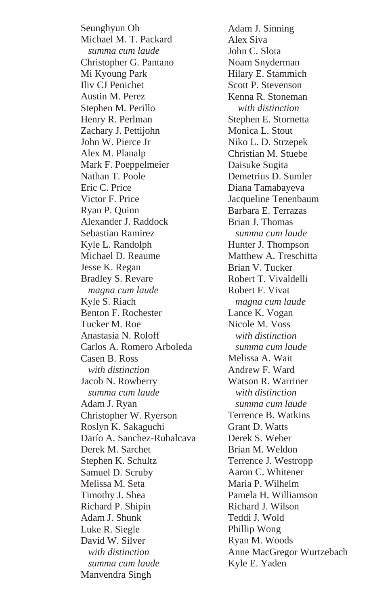Seunghyun Oh Michael M. T. Packard *summa cum laude* Christopher G. Pantano Mi Kyoung Park Iliv CJ Penichet Austin M. Perez Stephen M. Perillo Henry R. Perlman Zachary J. Pettijohn John W. Pierce Jr Alex M. Planalp Mark F. Poeppelmeier Nathan T. Poole Eric C. Price Victor F. Price Ryan P. Quinn Alexander J. Raddock Sebastian Ramirez Kyle L. Randolph Michael D. Reaume Jesse K. Regan Bradley S. Revare  *magna cum laude* Kyle S. Riach Benton F. Rochester Tucker M. Roe Anastasia N. Roloff Carlos A. Romero Arboleda Casen B. Ross *with distinction* Jacob N. Rowberry *summa cum laude* Adam J. Ryan Christopher W. Ryerson Roslyn K. Sakaguchi Darío A. Sanchez-Rubalcava Derek M. Sarchet Stephen K. Schultz Samuel D. Scruby Melissa M. Seta Timothy J. Shea Richard P. Shipin Adam J. Shunk Luke R. Siegle David W. Silver *with distinction summa cum laude* Manvendra Singh

Adam J. Sinning Alex Siva John C. Slota Noam Snyderman Hilary E. Stammich Scott P. Stevenson Kenna R. Stoneman *with distinction* Stephen E. Stornetta Monica L. Stout Niko L. D. Strzepek Christian M. Stuebe Daisuke Sugita Demetrius D. Sumler Diana Tamabayeva Jacqueline Tenenbaum Barbara E. Terrazas Brian J. Thomas *summa cum laude* Hunter J. Thompson Matthew A. Treschitta Brian V. Tucker Robert T. Vivaldelli Robert F. Vivat *magna cum laude* Lance K. Vogan Nicole M. Voss *with distinction summa cum laude* Melissa A. Wait Andrew F. Ward Watson R. Warriner *with distinction summa cum laude* Terrence B. Watkins Grant D. Watts Derek S. Weber Brian M. Weldon Terrence J. Westropp Aaron C. Whitener Maria P. Wilhelm Pamela H. Williamson Richard J. Wilson Teddi J. Wold Phillip Wong Ryan M. Woods Anne MacGregor Wurtzebach Kyle E. Yaden